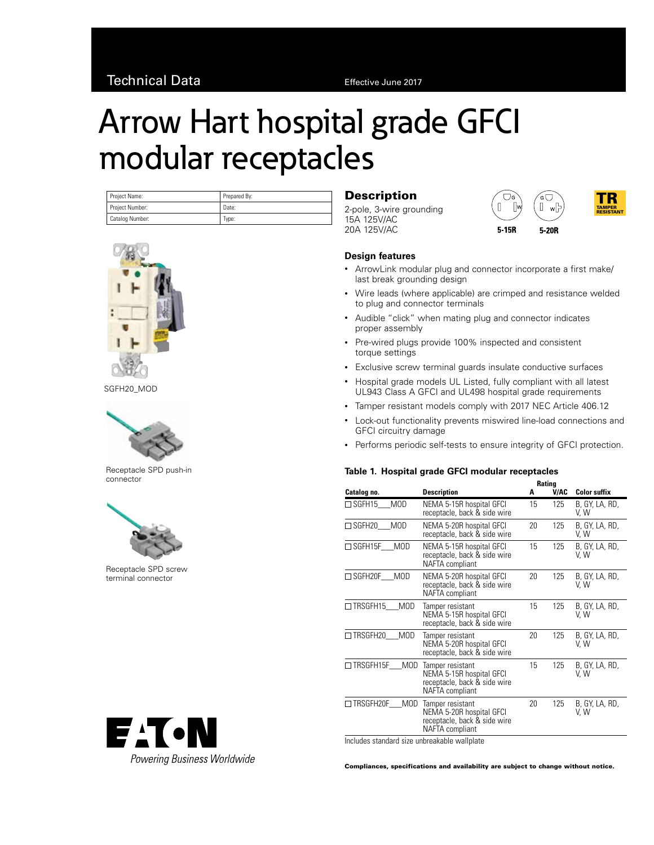# Arrow Hart hospital grade GFCI modular receptacles

| Project Name:   | Prepared By: |  |  |
|-----------------|--------------|--|--|
| Project Number: | Date:        |  |  |
| Catalog Number: | Tvpe:        |  |  |



SGFH20\_MOD



Receptacle SPD push-in connector



Receptacle SPD screw terminal connector



## **Description**

2-pole, 3-wire grounding 15A 125V/AC 20A 125V/AC





#### **Design features**

- ArrowLink modular plug and connector incorporate a first make/ last break grounding design
- Wire leads (where applicable) are crimped and resistance welded to plug and connector terminals
- Audible "click" when mating plug and connector indicates proper assembly
- Pre-wired plugs provide 100% inspected and consistent torque settings
- Exclusive screw terminal guards insulate conductive surfaces
- Hospital grade models UL Listed, fully compliant with all latest UL943 Class A GFCI and UL498 hospital grade requirements
- Tamper resistant models comply with 2017 NEC Article 406.12
- Lock-out functionality prevents miswired line-load connections and GFCI circuitry damage
- Performs periodic self-tests to ensure integrity of GFCI protection.

#### **Table 1. Hospital grade GFCI modular receptacles**

|                                | Rating                                                                                                 |    |      |                        |
|--------------------------------|--------------------------------------------------------------------------------------------------------|----|------|------------------------|
| Catalog no.                    | <b>Description</b>                                                                                     | A  | V/AC | <b>Color suffix</b>    |
| <b>MOD</b><br>□ SGFH15         | NEMA 5-15R hospital GFCI<br>receptacle, back & side wire                                               | 15 | 125  | B, GY, LA, RD,<br>V, W |
| <b>MOD</b><br>$\square$ SGFH20 | NEMA 5-20R hospital GFCI<br>receptacle, back & side wire                                               | 20 | 125  | B, GY, LA, RD,<br>V, W |
| □ SGFH15F<br><b>MOD</b>        | NEMA 5-15R hospital GFCI<br>receptacle, back & side wire<br>NAFTA compliant                            | 15 | 125  | B, GY, LA, RD,<br>V, W |
| $\Box$ SGFH20F<br>MOD          | NEMA 5-20R hospital GFCI<br>receptacle, back & side wire<br>NAFTA compliant                            | 20 | 125  | B, GY, LA, RD,<br>V. W |
| $\Box$ TRSGFH15<br><b>MOD</b>  | Tamper resistant<br>NEMA 5-15R hospital GFCI<br>receptacle, back & side wire                           | 15 | 125  | B, GY, LA, RD,<br>V, W |
| $\Box$ TRSGFH20<br><b>MOD</b>  | Tamper resistant<br>NEMA 5-20R hospital GFCI<br>receptacle, back & side wire                           | 20 | 125  | B, GY, LA, RD,<br>V. W |
| □ TRSGFH15F<br><b>MOD</b>      | Tamper resistant<br>NEMA 5-15R hospital GFCI<br>receptacle, back & side wire<br>NAFTA compliant        | 15 | 125  | B, GY, LA, RD,<br>V, W |
| TRSGFH20F<br><b>MOD</b>        | Tamper resistant<br>NEMA 5-20R hospital GFCI<br>receptacle, back & side wire<br><b>NAFTA</b> compliant | 20 | 125  | B, GY, LA, RD,<br>V, W |

Includes standard size unbreakable wallplate

Compliances, specifications and availability are subject to change without notice.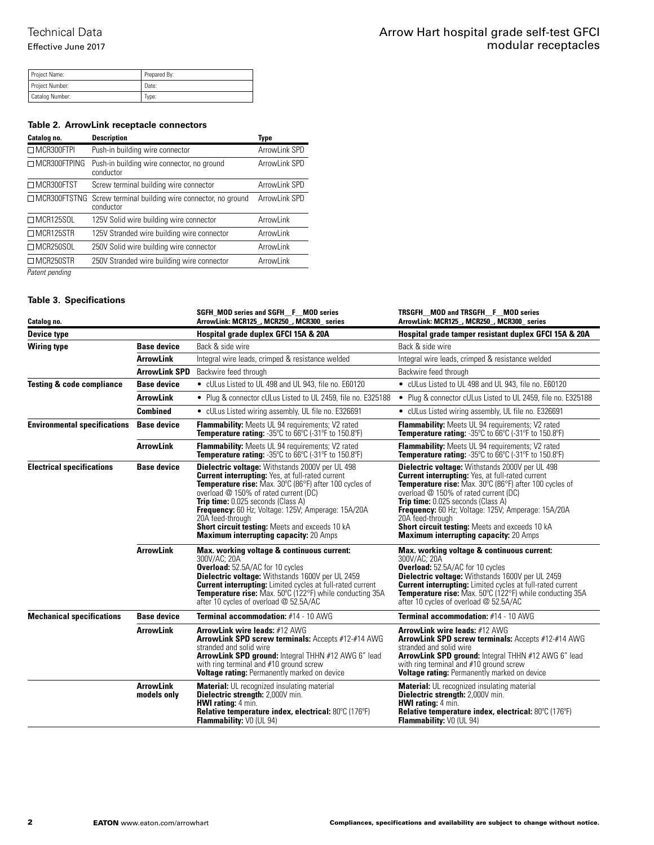Effective June 2017

| Project Name:   | Prepared By: |  |  |
|-----------------|--------------|--|--|
| Project Number: | Date:        |  |  |
| Catalog Number: | Type:        |  |  |

### **Table 2. ArrowLink receptacle connectors**

| Catalog no.         | <b>Description</b>                                             | Type          |
|---------------------|----------------------------------------------------------------|---------------|
| MCR300FTPI          | Push-in building wire connector                                | ArrowLink SPD |
| $\Box$ MCR300FTPING | Push-in building wire connector, no ground<br>conductor        | ArrowLink SPD |
| □ MCR300FTST        | Screw terminal building wire connector                         | ArrowLink SPD |
| MCR300FTSTNG        | Screw terminal building wire connector, no ground<br>conductor | ArrowLink SPD |
| $\Box$ MCR125SOL    | 125V Solid wire building wire connector                        | ArrowLink     |
| MCR125STR           | 125V Stranded wire building wire connector                     | ArrowLink     |
| $\Box$ MCR250SOL    | 250V Solid wire building wire connector                        | ArrowLink     |
| $\Box$ MCR250STR    | 250V Stranded wire building wire connector                     | ArrowLink     |
| Patent pending      |                                                                |               |

**Table 3. Specifications**

| Catalog no.                          |                                 | SGFH MOD series and SGFH F MOD series<br>ArrowLink: MCR125_, MCR250_, MCR300_ series                                                                                                                                                                                                                                                                                                                                                           | TRSGFH MOD and TRSGFH F MOD series<br>ArrowLink: MCR125_, MCR250_, MCR300_ series                                                                                                                                                                                                                                                                                                                                                              |
|--------------------------------------|---------------------------------|------------------------------------------------------------------------------------------------------------------------------------------------------------------------------------------------------------------------------------------------------------------------------------------------------------------------------------------------------------------------------------------------------------------------------------------------|------------------------------------------------------------------------------------------------------------------------------------------------------------------------------------------------------------------------------------------------------------------------------------------------------------------------------------------------------------------------------------------------------------------------------------------------|
| Device type                          |                                 | Hospital grade duplex GFCI 15A & 20A                                                                                                                                                                                                                                                                                                                                                                                                           | Hospital grade tamper resistant duplex GFCI 15A & 20A                                                                                                                                                                                                                                                                                                                                                                                          |
| <b>Wiring type</b>                   | <b>Base device</b>              | Back & side wire                                                                                                                                                                                                                                                                                                                                                                                                                               | Back & side wire                                                                                                                                                                                                                                                                                                                                                                                                                               |
|                                      | ArrowLink                       | Integral wire leads, crimped & resistance welded                                                                                                                                                                                                                                                                                                                                                                                               | Integral wire leads, crimped & resistance welded                                                                                                                                                                                                                                                                                                                                                                                               |
|                                      | <b>ArrowLink SPD</b>            | Backwire feed through                                                                                                                                                                                                                                                                                                                                                                                                                          | Backwire feed through                                                                                                                                                                                                                                                                                                                                                                                                                          |
| <b>Testing &amp; code compliance</b> | <b>Base device</b>              | • cULus Listed to UL 498 and UL 943, file no. E60120                                                                                                                                                                                                                                                                                                                                                                                           | • cULus Listed to UL 498 and UL 943, file no. E60120                                                                                                                                                                                                                                                                                                                                                                                           |
|                                      | <b>ArrowLink</b>                | • Plug & connector cULus Listed to UL 2459, file no. E325188                                                                                                                                                                                                                                                                                                                                                                                   | • Plug & connector cULus Listed to UL 2459, file no. E325188                                                                                                                                                                                                                                                                                                                                                                                   |
|                                      | <b>Combined</b>                 | • cULus Listed wiring assembly, UL file no. E326691                                                                                                                                                                                                                                                                                                                                                                                            | • cULus Listed wiring assembly, UL file no. E326691                                                                                                                                                                                                                                                                                                                                                                                            |
| <b>Environmental specifications</b>  | <b>Base device</b>              | <b>Flammability:</b> Meets UL 94 requirements; V2 rated<br>Temperature rating: -35°C to 66°C (-31°F to 150.8°F)                                                                                                                                                                                                                                                                                                                                | Flammability: Meets UL 94 requirements; V2 rated<br>Temperature rating: -35°C to 66°C (-31°F to 150.8°F)                                                                                                                                                                                                                                                                                                                                       |
|                                      | <b>ArrowLink</b>                | Flammability: Meets UL 94 requirements; V2 rated<br>Temperature rating: -35°C to 66°C (-31°F to 150.8°F)                                                                                                                                                                                                                                                                                                                                       | Flammability: Meets UL 94 requirements; V2 rated<br>Temperature rating: -35°C to 66°C (-31°F to 150.8°F)                                                                                                                                                                                                                                                                                                                                       |
| <b>Electrical specifications</b>     | <b>Base device</b>              | Dielectric voltage: Withstands 2000V per UL 498<br><b>Current interrupting:</b> Yes, at full-rated current<br>Temperature rise: Max. 30°C (86°F) after 100 cycles of<br>overload @ 150% of rated current (DC)<br><b>Trip time:</b> 0.025 seconds (Class A)<br>Frequency: 60 Hz; Voltage: 125V; Amperage: 15A/20A<br>20A feed-through<br><b>Short circuit testing: Meets and exceeds 10 kA</b><br><b>Maximum interrupting capacity: 20 Amps</b> | Dielectric voltage: Withstands 2000V per UL 498<br><b>Current interrupting:</b> Yes, at full-rated current<br>Temperature rise: Max. 30°C (86°F) after 100 cycles of<br>overload @ 150% of rated current (DC)<br><b>Trip time:</b> 0.025 seconds (Class A)<br>Frequency: 60 Hz; Voltage: 125V; Amperage: 15A/20A<br>20A feed-through<br><b>Short circuit testing:</b> Meets and exceeds 10 kA<br><b>Maximum interrupting capacity: 20 Amps</b> |
|                                      | <b>ArrowLink</b>                | Max. working voltage & continuous current:<br>300V/AC: 20A<br><b>Overload:</b> 52.5A/AC for 10 cycles<br><b>Dielectric voltage:</b> Withstands 1600V per UL 2459<br><b>Current interrupting:</b> Limited cycles at full-rated current<br><b>Temperature rise:</b> Max. 50°C (122°F) while conducting 35A<br>after 10 cycles of overload @ 52.5A/AC                                                                                             | Max. working voltage & continuous current:<br>300V/AC: 20A<br><b>Overload:</b> 52.5A/AC for 10 cycles<br><b>Dielectric voltage:</b> Withstands 1600V per UL 2459<br><b>Current interrupting:</b> Limited cycles at full-rated current<br><b>Temperature rise:</b> Max. 50°C (122°F) while conducting 35A<br>after 10 cycles of overload @ 52.5A/AC                                                                                             |
| <b>Mechanical specifications</b>     | <b>Base device</b>              | <b>Terminal accommodation: #14 - 10 AWG</b>                                                                                                                                                                                                                                                                                                                                                                                                    | <b>Terminal accommodation: #14 - 10 AWG</b>                                                                                                                                                                                                                                                                                                                                                                                                    |
|                                      | <b>ArrowLink</b>                | <b>ArrowLink wire leads: #12 AWG</b><br>ArrowLink SPD screw terminals: Accepts #12-#14 AWG<br>stranded and solid wire<br>ArrowLink SPD ground: Integral THHN #12 AWG 6" lead<br>with ring terminal and #10 ground screw<br>Voltage rating: Permanently marked on device                                                                                                                                                                        | <b>ArrowLink wire leads: #12 AWG</b><br>ArrowLink SPD screw terminals: Accepts #12-#14 AWG<br>stranded and solid wire<br>ArrowLink SPD ground: Integral THHN #12 AWG 6" lead<br>with ring terminal and #10 ground screw<br>Voltage rating: Permanently marked on device                                                                                                                                                                        |
|                                      | <b>ArrowLink</b><br>models only | <b>Material:</b> UL recognized insulating material<br>Dielectric strength: 2,000V min.<br><b>HWI rating: 4 min.</b><br>Relative temperature index, electrical: 80°C (176°F)<br>Flammability: VO (UL 94)                                                                                                                                                                                                                                        | <b>Material:</b> UL recognized insulating material<br>Dielectric strength: 2,000V min.<br><b>HWI rating: 4 min.</b><br>Relative temperature index, electrical: 80°C (176°F)<br>Flammability: V0 (UL 94)                                                                                                                                                                                                                                        |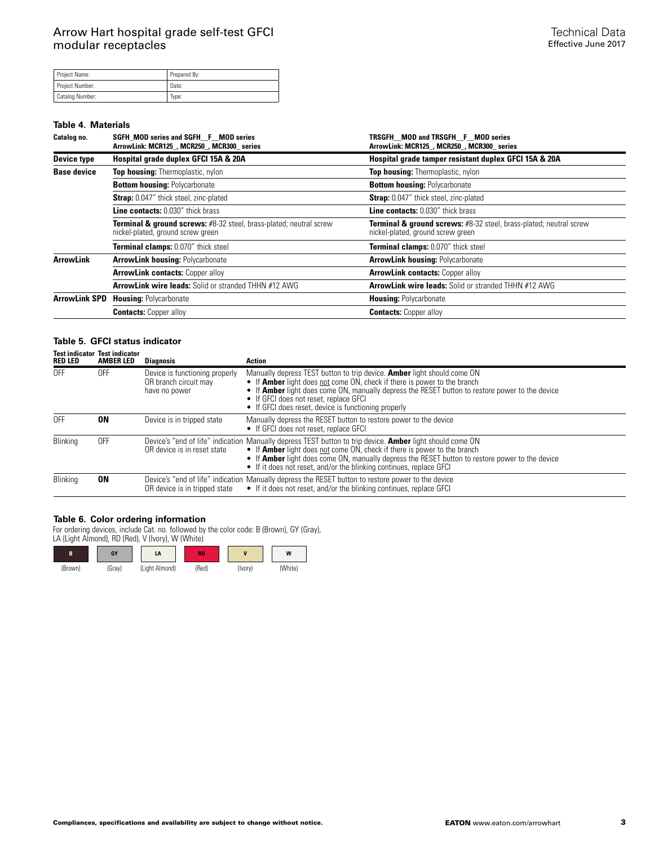| Project Name:          | Prepared By: |
|------------------------|--------------|
| Project Number:        | Date:        |
| <b>Catalog Number:</b> | Type:        |

#### **Table 4. Materials**

| Catalog no.          | SGFH MOD series and SGFH_F_MOD series<br>ArrowLink: MCR125 , MCR250 , MCR300 series                                | TRSGFH MOD and TRSGFH F MOD series<br>ArrowLink: MCR125 , MCR250 , MCR300 series                                   |  |  |
|----------------------|--------------------------------------------------------------------------------------------------------------------|--------------------------------------------------------------------------------------------------------------------|--|--|
| <b>Device type</b>   | Hospital grade duplex GFCI 15A & 20A                                                                               | Hospital grade tamper resistant duplex GFCI 15A & 20A                                                              |  |  |
| <b>Base device</b>   | Top housing: Thermoplastic, nylon                                                                                  | Top housing: Thermoplastic, nylon                                                                                  |  |  |
|                      | <b>Bottom housing: Polycarbonate</b>                                                                               | <b>Bottom housing: Polycarbonate</b>                                                                               |  |  |
|                      | <b>Strap:</b> 0.047" thick steel, zinc-plated                                                                      | Strap: 0.047" thick steel, zinc-plated                                                                             |  |  |
|                      | <b>Line contacts: 0.030" thick brass</b>                                                                           | <b>Line contacts: 0.030" thick brass</b>                                                                           |  |  |
|                      | <b>Terminal &amp; ground screws:</b> #8-32 steel, brass-plated; neutral screw<br>nickel-plated, ground screw green | <b>Terminal &amp; ground screws:</b> #8-32 steel, brass-plated; neutral screw<br>nickel-plated, ground screw green |  |  |
|                      | <b>Terminal clamps: 0.070" thick steel</b>                                                                         | <b>Terminal clamps: 0.070" thick steel</b>                                                                         |  |  |
| <b>ArrowLink</b>     | <b>ArrowLink housing: Polycarbonate</b>                                                                            | <b>ArrowLink housing: Polycarbonate</b>                                                                            |  |  |
|                      | <b>ArrowLink contacts: Copper alloy</b>                                                                            | <b>ArrowLink contacts: Copper alloy</b>                                                                            |  |  |
|                      | ArrowLink wire leads: Solid or stranded THHN #12 AWG                                                               | ArrowLink wire leads: Solid or stranded THHN #12 AWG                                                               |  |  |
| <b>ArrowLink SPD</b> | <b>Housing: Polycarbonate</b>                                                                                      | <b>Housing: Polycarbonate</b>                                                                                      |  |  |
|                      | <b>Contacts:</b> Copper alloy                                                                                      | <b>Contacts: Copper alloy</b>                                                                                      |  |  |

## **Table 5. GFCI status indicator**

| <b>RED LED</b>  | <b>Test indicator Test indicator</b><br><b>AMBER LED</b> | <b>Diagnosis</b>                                                         | Action                                                                                                                                                                                                                                                                                                                                                                               |
|-----------------|----------------------------------------------------------|--------------------------------------------------------------------------|--------------------------------------------------------------------------------------------------------------------------------------------------------------------------------------------------------------------------------------------------------------------------------------------------------------------------------------------------------------------------------------|
| 0FF             | 0FF                                                      | Device is functioning properly<br>OR branch circuit may<br>have no power | Manually depress TEST button to trip device. <b>Amber</b> light should come ON<br>• If <b>Amber</b> light does not come ON, check if there is power to the branch<br>• If <b>Amber</b> light does come ON, manually depress the RESET button to restore power to the device<br>• If GFCI does not reset, replace GFCI<br>• If GFCI does reset, device is functioning properly        |
| 0FF             | 0N                                                       | Device is in tripped state                                               | Manually depress the RESET button to restore power to the device<br>• If GFCI does not reset, replace GFCI                                                                                                                                                                                                                                                                           |
| <b>Blinking</b> | 0FF                                                      | OR device is in reset state                                              | Device's "end of life" indication Manually depress TEST button to trip device. <b>Amber</b> light should come ON<br>• If <b>Amber</b> light does not come ON, check if there is power to the branch<br>• If <b>Amber</b> light does come ON, manually depress the RESET button to restore power to the device<br>• If it does not reset, and/or the blinking continues, replace GFCI |
| Blinking        | 0N                                                       | OR device is in tripped state                                            | Device's "end of life" indication Manually depress the RESET button to restore power to the device<br>• If it does not reset, and/or the blinking continues, replace GFCI                                                                                                                                                                                                            |

### **Table 6. Color ordering information**

For ordering devices, include Cat. no. followed by the color code: B (Brown), GY (Gray), LA (Light Almond), RD (Red), V (Ivory), W (White)

| B       | GY     | LA             | <b>RD</b> | $\overline{\phantom{a}}$ | W       |
|---------|--------|----------------|-----------|--------------------------|---------|
| (Brown) | (Gray) | (Light Almond) | (Red)     | (Ivory)                  | (White) |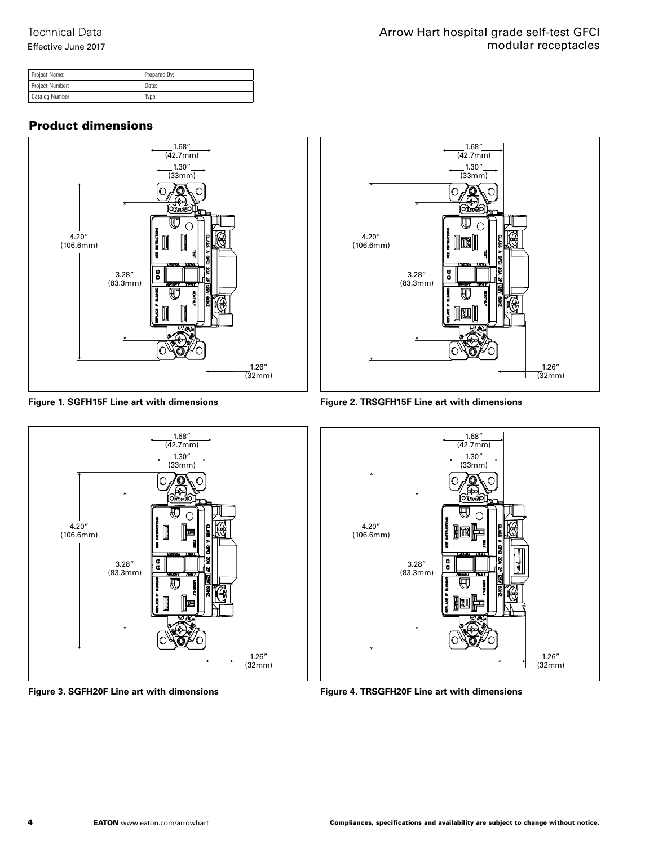Effective June 2017

| Project Name:   | Prepared By: |
|-----------------|--------------|
| Project Number: | Date:        |
| Catalog Number: | Type:        |

# Product dimensions







**Figure 3. SGFH20F Line art with dimensions**



**Figure 2. TRSGFH15F Line art with dimensions**



**Figure 4. TRSGFH20F Line art with dimensions**